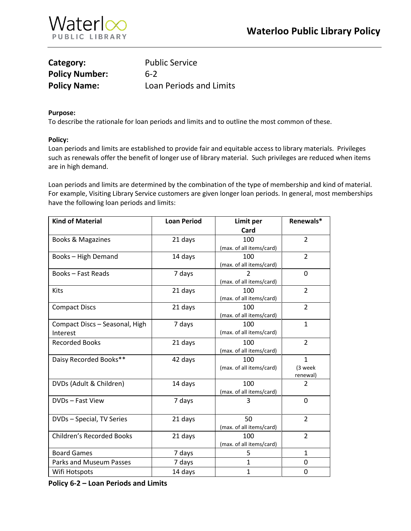

| Category:             | <b>Public Service</b>   |
|-----------------------|-------------------------|
| <b>Policy Number:</b> | $6-2$                   |
| <b>Policy Name:</b>   | Loan Periods and Limits |

## **Purpose:**

To describe the rationale for loan periods and limits and to outline the most common of these.

## **Policy:**

Loan periods and limits are established to provide fair and equitable access to library materials. Privileges such as renewals offer the benefit of longer use of library material. Such privileges are reduced when items are in high demand.

Loan periods and limits are determined by the combination of the type of membership and kind of material. For example, Visiting Library Service customers are given longer loan periods. In general, most memberships have the following loan periods and limits:

| <b>Kind of Material</b>          | <b>Loan Period</b> | Limit per                | Renewals*      |
|----------------------------------|--------------------|--------------------------|----------------|
|                                  |                    | Card                     |                |
| Books & Magazines                | 21 days            | 100                      | $\overline{2}$ |
|                                  |                    | (max. of all items/card) |                |
| Books - High Demand              | 14 days            | 100                      | $\overline{2}$ |
|                                  |                    | (max. of all items/card) |                |
| <b>Books-Fast Reads</b>          | 7 days             | $\mathcal{P}$            | 0              |
|                                  |                    | (max. of all items/card) |                |
| Kits                             | 21 days            | 100                      | $\overline{2}$ |
|                                  |                    | (max. of all items/card) |                |
| <b>Compact Discs</b>             | 21 days            | 100                      | $\overline{2}$ |
|                                  |                    | (max. of all items/card) |                |
| Compact Discs - Seasonal, High   | 7 days             | 100                      | $\mathbf{1}$   |
| Interest                         |                    | (max. of all items/card) |                |
| <b>Recorded Books</b>            | 21 days            | 100                      | $\overline{2}$ |
|                                  |                    | (max. of all items/card) |                |
| Daisy Recorded Books**           | 42 days            | 100                      | $\mathbf{1}$   |
|                                  |                    | (max. of all items/card) | (3 week        |
|                                  |                    |                          | renewal)       |
| DVDs (Adult & Children)          | 14 days            | 100                      | $\overline{2}$ |
|                                  |                    | (max. of all items/card) |                |
| DVDs - Fast View                 | 7 days             | 3                        | 0              |
|                                  |                    |                          |                |
| DVDs - Special, TV Series        | 21 days            | 50                       | $\overline{2}$ |
|                                  |                    | (max. of all items/card) |                |
| <b>Children's Recorded Books</b> | 21 days            | 100                      | $\overline{2}$ |
|                                  |                    | (max. of all items/card) |                |
| <b>Board Games</b>               | 7 days             | 5                        | $\mathbf{1}$   |
| Parks and Museum Passes          | 7 days             | 1                        | 0              |
| Wifi Hotspots                    | 14 days            | $\mathbf{1}$             | 0              |

**Policy 6-2 – Loan Periods and Limits**